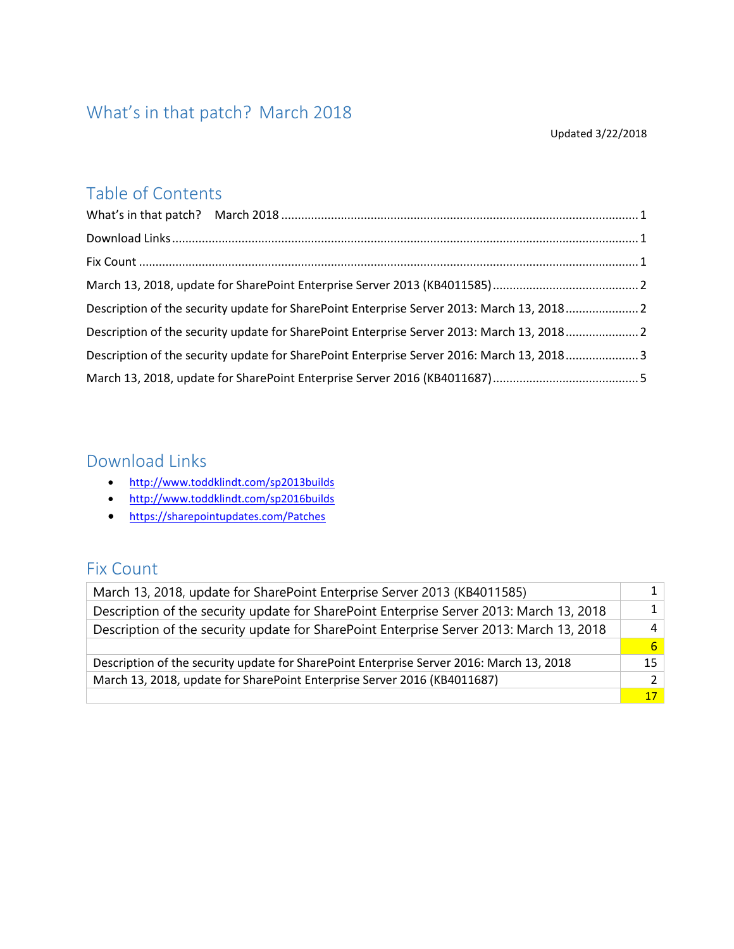### <span id="page-0-0"></span>What's in that patch? March 2018

#### Updated 3/22/2018

### Table of Contents

| Description of the security update for SharePoint Enterprise Server 2013: March 13, 20182 |  |
|-------------------------------------------------------------------------------------------|--|
| Description of the security update for SharePoint Enterprise Server 2013: March 13, 20182 |  |
| Description of the security update for SharePoint Enterprise Server 2016: March 13, 20183 |  |
|                                                                                           |  |

### <span id="page-0-1"></span>Download Links

- <http://www.toddklindt.com/sp2013builds>
- <http://www.toddklindt.com/sp2016builds>
- <https://sharepointupdates.com/Patches>

#### <span id="page-0-2"></span>Fix Count

| March 13, 2018, update for SharePoint Enterprise Server 2013 (KB4011585)                 | $1\vert$        |
|------------------------------------------------------------------------------------------|-----------------|
| Description of the security update for SharePoint Enterprise Server 2013: March 13, 2018 | $1\vert$        |
| Description of the security update for SharePoint Enterprise Server 2013: March 13, 2018 | 4 <sup>1</sup>  |
|                                                                                          | 6 <sup>1</sup>  |
| Description of the security update for SharePoint Enterprise Server 2016: March 13, 2018 | 15              |
| March 13, 2018, update for SharePoint Enterprise Server 2016 (KB4011687)                 | 2 <sup>1</sup>  |
|                                                                                          | 17 <sup>1</sup> |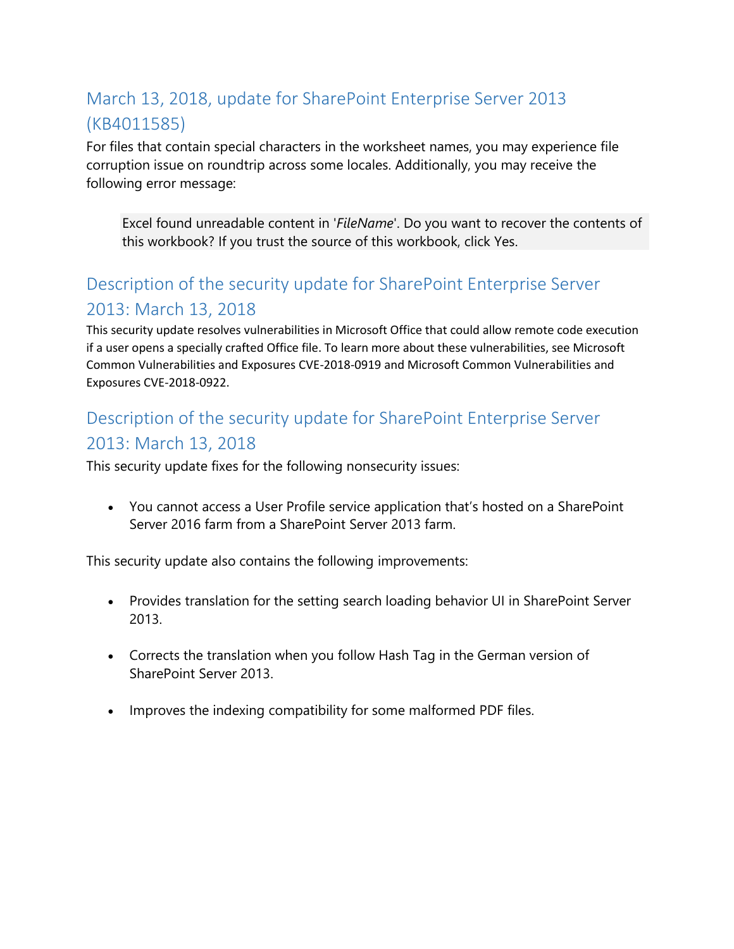# <span id="page-1-0"></span>March 13, 2018, update for SharePoint Enterprise Server 2013 (KB4011585)

For files that contain special characters in the worksheet names, you may experience file corruption issue on roundtrip across some locales. Additionally, you may receive the following error message:

Excel found unreadable content in '*FileName*'. Do you want to recover the contents of this workbook? If you trust the source of this workbook, click Yes.

### <span id="page-1-1"></span>Description of the security update for SharePoint Enterprise Server 2013: March 13, 2018

This security update resolves vulnerabilities in Microsoft Office that could allow remote code execution if a user opens a specially crafted Office file. To learn more about these vulnerabilities, see Microsoft Common Vulnerabilities and Exposures CVE-2018-0919 and Microsoft Common Vulnerabilities and Exposures CVE-2018-0922.

# <span id="page-1-2"></span>Description of the security update for SharePoint Enterprise Server 2013: March 13, 2018

This security update fixes for the following nonsecurity issues:

• You cannot access a User Profile service application that's hosted on a SharePoint Server 2016 farm from a SharePoint Server 2013 farm.

This security update also contains the following improvements:

- Provides translation for the setting search loading behavior UI in SharePoint Server 2013.
- Corrects the translation when you follow Hash Tag in the German version of SharePoint Server 2013.
- Improves the indexing compatibility for some malformed PDF files.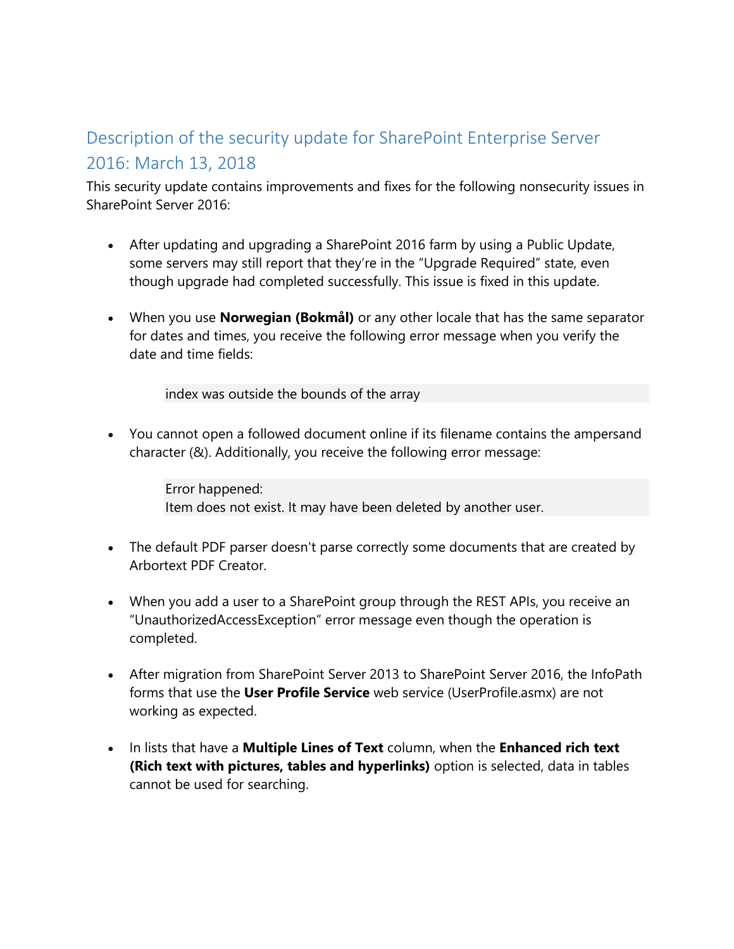## <span id="page-2-0"></span>Description of the security update for SharePoint Enterprise Server 2016: March 13, 2018

This security update contains improvements and fixes for the following nonsecurity issues in SharePoint Server 2016:

- After updating and upgrading a SharePoint 2016 farm by using a Public Update, some servers may still report that they're in the "Upgrade Required" state, even though upgrade had completed successfully. This issue is fixed in this update.
- When you use **Norwegian (Bokmål)** or any other locale that has the same separator for dates and times, you receive the following error message when you verify the date and time fields:

index was outside the bounds of the array

• You cannot open a followed document online if its filename contains the ampersand character (&). Additionally, you receive the following error message:

> Error happened: Item does not exist. It may have been deleted by another user.

- The default PDF parser doesn't parse correctly some documents that are created by Arbortext PDF Creator.
- When you add a user to a SharePoint group through the REST APIs, you receive an "UnauthorizedAccessException" error message even though the operation is completed.
- After migration from SharePoint Server 2013 to SharePoint Server 2016, the InfoPath forms that use the **User Profile Service** web service (UserProfile.asmx) are not working as expected.
- In lists that have a **Multiple Lines of Text** column, when the **Enhanced rich text (Rich text with pictures, tables and hyperlinks)** option is selected, data in tables cannot be used for searching.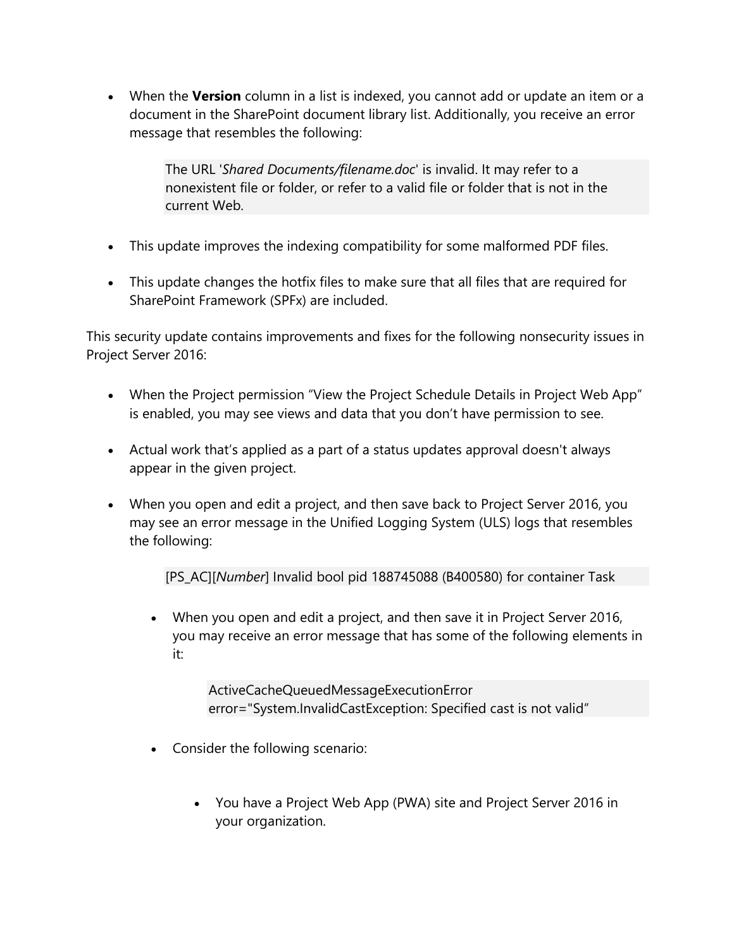• When the **Version** column in a list is indexed, you cannot add or update an item or a document in the SharePoint document library list. Additionally, you receive an error message that resembles the following:

> The URL '*Shared Documents/filename.doc*' is invalid. It may refer to a nonexistent file or folder, or refer to a valid file or folder that is not in the current Web.

- This update improves the indexing compatibility for some malformed PDF files.
- This update changes the hotfix files to make sure that all files that are required for SharePoint Framework (SPFx) are included.

This security update contains improvements and fixes for the following nonsecurity issues in Project Server 2016:

- When the Project permission "View the Project Schedule Details in Project Web App" is enabled, you may see views and data that you don't have permission to see.
- Actual work that's applied as a part of a status updates approval doesn't always appear in the given project.
- When you open and edit a project, and then save back to Project Server 2016, you may see an error message in the Unified Logging System (ULS) logs that resembles the following:

[PS\_AC][*Number*] Invalid bool pid 188745088 (B400580) for container Task

• When you open and edit a project, and then save it in Project Server 2016, you may receive an error message that has some of the following elements in it:

> ActiveCacheQueuedMessageExecutionError error="System.InvalidCastException: Specified cast is not valid"

- Consider the following scenario:
	- You have a Project Web App (PWA) site and Project Server 2016 in your organization.